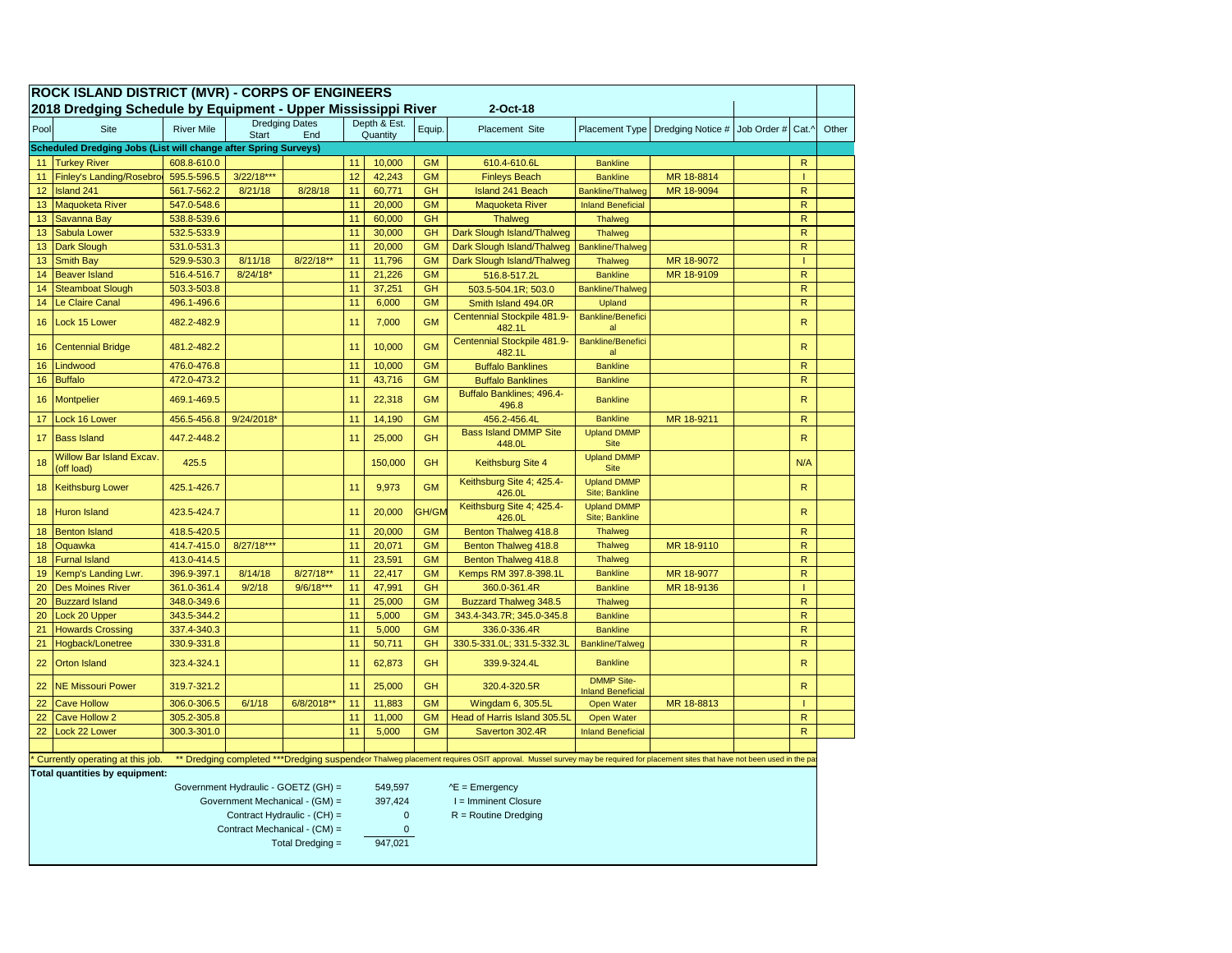| <b>ROCK ISLAND DISTRICT (MVR) - CORPS OF ENGINEERS</b>                                                                                                                                                          |                                                                           |                   |              |                                |                          |                     |              |                                                                             |                                        |                               |  |                |       |
|-----------------------------------------------------------------------------------------------------------------------------------------------------------------------------------------------------------------|---------------------------------------------------------------------------|-------------------|--------------|--------------------------------|--------------------------|---------------------|--------------|-----------------------------------------------------------------------------|----------------------------------------|-------------------------------|--|----------------|-------|
|                                                                                                                                                                                                                 | 2018 Dredging Schedule by Equipment - Upper Mississippi River<br>2-Oct-18 |                   |              |                                |                          |                     |              |                                                                             |                                        |                               |  |                |       |
| Pool                                                                                                                                                                                                            | Site                                                                      | <b>River Mile</b> | <b>Start</b> | <b>Dredging Dates</b><br>End   | Depth & Est.<br>Quantity |                     | Equip.       | Placement Site                                                              | Placement Type                         | Dredging Notice # Job Order # |  | Cat.^          | Other |
| Scheduled Dredging Jobs (List will change after Spring Surveys)                                                                                                                                                 |                                                                           |                   |              |                                |                          |                     |              |                                                                             |                                        |                               |  |                |       |
| 11                                                                                                                                                                                                              | <b>Turkey River</b>                                                       | 608.8-610.0       |              |                                | 11                       | 10,000              | <b>GM</b>    | 610.4-610.6L                                                                | <b>Bankline</b>                        |                               |  | $\mathsf{R}$   |       |
| 11                                                                                                                                                                                                              | Finley's Landing/Rosebro                                                  | 595.5-596.5       | 3/22/18***   |                                | 12                       | 42,243              | <b>GM</b>    | <b>Finleys Beach</b>                                                        | <b>Bankline</b>                        | MR 18-8814                    |  | $\mathbf{I}$   |       |
| 12                                                                                                                                                                                                              | Island 241                                                                | 561.7-562.2       | 8/21/18      | 8/28/18                        | 11                       | 60,771              | <b>GH</b>    | <b>Island 241 Beach</b>                                                     | <b>Bankline/Thalweg</b>                | MR 18-9094                    |  | $\mathsf{R}$   |       |
| 13                                                                                                                                                                                                              | <b>Maquoketa River</b>                                                    | 547.0-548.6       |              |                                | 11                       | 20,000              | <b>GM</b>    | <b>Maquoketa River</b>                                                      | <b>Inland Beneficial</b>               |                               |  | $\mathsf{R}$   |       |
| 13                                                                                                                                                                                                              | Savanna Bay                                                               | 538.8-539.6       |              |                                | 11                       | <b>GH</b><br>60,000 |              | <b>Thalweg</b>                                                              | <b>Thalweg</b>                         |                               |  | $\mathsf{R}$   |       |
| 13                                                                                                                                                                                                              | Sabula Lower                                                              | 532.5-533.9       |              |                                | 11                       | 30,000              | <b>GH</b>    | Dark Slough Island/Thalweg                                                  | <b>Thalweg</b>                         |                               |  | $\mathsf{R}$   |       |
| 13                                                                                                                                                                                                              | Dark Slough                                                               | 531.0-531.3       |              |                                | 11                       | 20,000              | <b>GM</b>    | Dark Slough Island/Thalweg                                                  | <b>Bankline/Thalweg</b>                |                               |  | $\mathsf{R}$   |       |
| 13                                                                                                                                                                                                              | <b>Smith Bay</b>                                                          | 529.9-530.3       | 8/11/18      | 8/22/18**                      | 11                       | 11,796              | <b>GM</b>    | Dark Slough Island/Thalweg                                                  | Thalweg                                | MR 18-9072                    |  | T              |       |
| 14                                                                                                                                                                                                              | <b>Beaver Island</b>                                                      | 516.4-516.7       | 8/24/18*     |                                | 11                       | 21,226              | <b>GM</b>    | 516.8-517.2L                                                                | <b>Bankline</b>                        | MR 18-9109                    |  | ${\sf R}$      |       |
| 14                                                                                                                                                                                                              | <b>Steamboat Slough</b>                                                   | 503.3-503.8       |              |                                | 11                       | 37,251              | <b>GH</b>    | 503.5-504.1R; 503.0                                                         | <b>Bankline/Thalweg</b>                |                               |  | $\mathsf{R}$   |       |
| 14                                                                                                                                                                                                              | Le Claire Canal                                                           | 496.1-496.6       |              |                                | 11                       | 6,000               | <b>GM</b>    | Smith Island 494.0R                                                         | Upland                                 |                               |  | $\mathsf{R}$   |       |
| 16                                                                                                                                                                                                              | Lock 15 Lower                                                             | 482.2-482.9       |              |                                | 11                       | 7,000               | <b>GM</b>    | Centennial Stockpile 481.9-<br>482.1L                                       | <b>Bankline/Benefici</b><br>al         |                               |  | $\mathsf{R}$   |       |
| 16                                                                                                                                                                                                              | <b>Centennial Bridge</b>                                                  | 481.2-482.2       |              |                                | 11                       | 10,000              | <b>GM</b>    | Centennial Stockpile 481.9-<br>482.1L                                       | <b>Bankline/Benefici</b><br>al         |                               |  | $\mathsf{R}$   |       |
| 16                                                                                                                                                                                                              | Lindwood                                                                  | 476.0-476.8       |              |                                | 11                       | 10,000              | <b>GM</b>    | <b>Buffalo Banklines</b>                                                    | <b>Bankline</b>                        |                               |  | $\mathsf{R}$   |       |
| 16                                                                                                                                                                                                              | <b>Buffalo</b>                                                            | 472.0-473.2       |              |                                | 11                       | 43,716              | <b>GM</b>    | <b>Buffalo Banklines</b>                                                    | <b>Bankline</b>                        |                               |  | $\overline{R}$ |       |
| 16                                                                                                                                                                                                              | Montpelier                                                                | 469.1-469.5       |              |                                | 11                       | 22,318              | <b>GM</b>    | Buffalo Banklines; 496.4-<br>496.8                                          | <b>Bankline</b>                        |                               |  | ${\sf R}$      |       |
| 17                                                                                                                                                                                                              | Lock 16 Lower                                                             | 456.5-456.8       | 9/24/2018*   |                                | 11                       | 14,190              | <b>GM</b>    | 456.2-456.4L                                                                | <b>Bankline</b>                        | MR 18-9211                    |  | $\mathsf{R}$   |       |
| 17                                                                                                                                                                                                              | <b>Bass Island</b>                                                        | 447.2-448.2       |              |                                | 11                       | 25,000              | <b>GH</b>    | <b>Bass Island DMMP Site</b><br>448.0L                                      | <b>Upland DMMP</b><br><b>Site</b>      |                               |  | $\mathsf{R}$   |       |
| 18                                                                                                                                                                                                              | <b>Willow Bar Island Excav.</b><br>off load)                              | 425.5             |              |                                |                          | 150,000             | <b>GH</b>    | Keithsburg Site 4                                                           | <b>Upland DMMP</b><br><b>Site</b>      |                               |  | N/A            |       |
| 18                                                                                                                                                                                                              | <b>Keithsburg Lower</b>                                                   | 425.1-426.7       |              |                                | 11                       | 9,973               | <b>GM</b>    | Keithsburg Site 4; 425.4-<br><b>Upland DMMP</b><br>Site; Bankline<br>426.0L |                                        |                               |  | $\mathsf{R}$   |       |
| 18                                                                                                                                                                                                              | <b>Huron Island</b>                                                       | 423.5-424.7       |              |                                | 11                       | 20,000              | <b>GH/GM</b> | Keithsburg Site 4; 425.4-<br>426.0L                                         | <b>Upland DMMP</b><br>Site; Bankline   |                               |  | $\mathsf{R}$   |       |
| 18                                                                                                                                                                                                              | <b>Benton Island</b>                                                      | 418.5-420.5       |              |                                | 11                       | 20,000              | <b>GM</b>    | Benton Thalweg 418.8                                                        | <b>Thalweg</b>                         |                               |  | $\mathsf{R}$   |       |
| 18                                                                                                                                                                                                              | Oquawka                                                                   | 414.7-415.0       | 8/27/18***   |                                | 11                       | 20,071              | <b>GM</b>    | Benton Thalweg 418.8                                                        | Thalweg                                | MR 18-9110                    |  | $\mathsf{R}$   |       |
| 18                                                                                                                                                                                                              | <b>Furnal Island</b>                                                      | 413.0-414.5       |              |                                | 11                       | 23,591              | <b>GM</b>    | Benton Thalweg 418.8                                                        | <b>Thalweg</b>                         |                               |  | $\mathsf{R}$   |       |
| 19                                                                                                                                                                                                              | Kemp's Landing Lwr.                                                       | 396.9-397.1       | 8/14/18      | 8/27/18**                      | 11                       | 22,417              | <b>GM</b>    | Kemps RM 397.8-398.1L                                                       | <b>Bankline</b>                        | MR 18-9077                    |  | $\mathsf{R}$   |       |
| 20                                                                                                                                                                                                              | <b>Des Moines River</b>                                                   | 361.0-361.4       | 9/2/18       | $9/6/18***$                    | 11                       | 47,991              | <b>GH</b>    | 360.0-361.4R                                                                | <b>Bankline</b>                        | MR 18-9136                    |  | $\mathbf{I}$   |       |
| 20                                                                                                                                                                                                              | <b>Buzzard Island</b>                                                     | 348.0-349.6       |              |                                | 11                       | 25,000              | <b>GM</b>    | <b>Buzzard Thalweg 348.5</b>                                                | Thalweg                                |                               |  | $\mathsf{R}$   |       |
| 20                                                                                                                                                                                                              | Lock 20 Upper                                                             | 343.5-344.2       |              |                                | 11                       | 5,000               | <b>GM</b>    | 343.4-343.7R; 345.0-345.8                                                   | <b>Bankline</b>                        |                               |  | ${\sf R}$      |       |
| 21                                                                                                                                                                                                              | <b>Howards Crossing</b>                                                   | 337.4-340.3       |              |                                | 11                       | 5,000               | <b>GM</b>    | 336.0-336.4R                                                                | <b>Bankline</b>                        |                               |  | $\mathsf{R}$   |       |
| 21                                                                                                                                                                                                              | Hogback/Lonetree                                                          | 330.9-331.8       |              |                                | 11                       | 50,711              | <b>GH</b>    | 330.5-331.0L; 331.5-332.3L                                                  | <b>Bankline/Talweg</b>                 |                               |  | $\mathsf{R}$   |       |
| 22                                                                                                                                                                                                              | <b>Orton Island</b>                                                       | 323.4-324.1       |              |                                | 11                       | 62,873              | <b>GH</b>    | 339.9-324.4L<br><b>Bankline</b>                                             |                                        |                               |  | $\mathsf{R}$   |       |
| 22                                                                                                                                                                                                              | <b>NE Missouri Power</b>                                                  | 319.7-321.2       |              |                                | 11                       | 25,000              | <b>GH</b>    | 320.4-320.5R                                                                | <b>DMMP Site-</b><br>Inland Beneficial |                               |  | ${\sf R}$      |       |
| 22                                                                                                                                                                                                              | <b>Cave Hollow</b>                                                        | 306.0-306.5       | 6/1/18       | 6/8/2018**                     | 11                       | 11,883              | <b>GM</b>    | Wingdam 6, 305.5L                                                           | Open Water                             | MR 18-8813                    |  | T              |       |
| 22                                                                                                                                                                                                              | <b>Cave Hollow 2</b>                                                      | 305.2-305.8       |              |                                | 11                       | 11,000              | <b>GM</b>    | Head of Harris Island 305.5L                                                | <b>Open Water</b>                      |                               |  | $\mathsf{R}$   |       |
| 22                                                                                                                                                                                                              | Lock 22 Lower                                                             | 300.3-301.0       |              |                                | 11                       | 5,000               | <b>GM</b>    | Saverton 302.4R                                                             | <b>Inland Beneficial</b>               |                               |  | $\mathsf{R}$   |       |
|                                                                                                                                                                                                                 |                                                                           |                   |              |                                |                          |                     |              |                                                                             |                                        |                               |  |                |       |
| ** Dredging completed *** Dredging suspend(or Thalweg placement requires OSIT approval. Mussel survey may be required for placement sites that have not been used in the pa<br>Currently operating at this job. |                                                                           |                   |              |                                |                          |                     |              |                                                                             |                                        |                               |  |                |       |
| Total quantities by equipment:                                                                                                                                                                                  |                                                                           |                   |              |                                |                          |                     |              |                                                                             |                                        |                               |  |                |       |
| Government Hydraulic - GOETZ (GH) =<br>549,597<br>$AE =$ Emergency                                                                                                                                              |                                                                           |                   |              |                                |                          |                     |              |                                                                             |                                        |                               |  |                |       |
|                                                                                                                                                                                                                 |                                                                           |                   |              | Government Mechanical - (GM) = |                          | 397,424             |              | I = Imminent Closure                                                        |                                        |                               |  |                |       |
|                                                                                                                                                                                                                 |                                                                           |                   |              | Contract Hydraulic - (CH) =    |                          | $\mathbf 0$         |              | $R =$ Routine Dredging                                                      |                                        |                               |  |                |       |
|                                                                                                                                                                                                                 |                                                                           |                   |              | Contract Mechanical - (CM) =   |                          | $\Omega$            |              |                                                                             |                                        |                               |  |                |       |
| 947.021<br>Total Dredging =                                                                                                                                                                                     |                                                                           |                   |              |                                |                          |                     |              |                                                                             |                                        |                               |  |                |       |